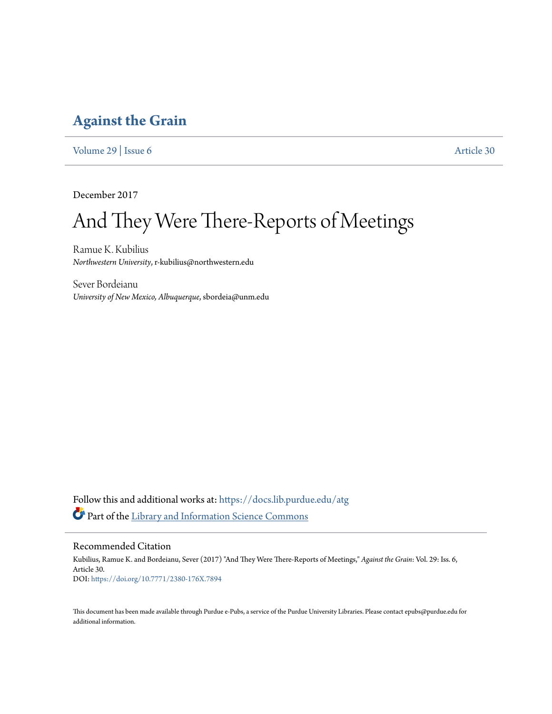### **[Against the Grain](https://docs.lib.purdue.edu/atg?utm_source=docs.lib.purdue.edu%2Fatg%2Fvol29%2Fiss6%2F30&utm_medium=PDF&utm_campaign=PDFCoverPages)**

[Volume 29](https://docs.lib.purdue.edu/atg/vol29?utm_source=docs.lib.purdue.edu%2Fatg%2Fvol29%2Fiss6%2F30&utm_medium=PDF&utm_campaign=PDFCoverPages) | [Issue 6](https://docs.lib.purdue.edu/atg/vol29/iss6?utm_source=docs.lib.purdue.edu%2Fatg%2Fvol29%2Fiss6%2F30&utm_medium=PDF&utm_campaign=PDFCoverPages) [Article 30](https://docs.lib.purdue.edu/atg/vol29/iss6/30?utm_source=docs.lib.purdue.edu%2Fatg%2Fvol29%2Fiss6%2F30&utm_medium=PDF&utm_campaign=PDFCoverPages)

December 2017

# And They Were There-Reports of Meetings

Ramue K. Kubilius *Northwestern University*, r-kubilius@northwestern.edu

Sever Bordeianu *University of New Mexico, Albuquerque*, sbordeia@unm.edu

Follow this and additional works at: [https://docs.lib.purdue.edu/atg](https://docs.lib.purdue.edu/atg?utm_source=docs.lib.purdue.edu%2Fatg%2Fvol29%2Fiss6%2F30&utm_medium=PDF&utm_campaign=PDFCoverPages) Part of the [Library and Information Science Commons](http://network.bepress.com/hgg/discipline/1018?utm_source=docs.lib.purdue.edu%2Fatg%2Fvol29%2Fiss6%2F30&utm_medium=PDF&utm_campaign=PDFCoverPages)

Recommended Citation

Kubilius, Ramue K. and Bordeianu, Sever (2017) "And They Were There-Reports of Meetings," *Against the Grain*: Vol. 29: Iss. 6, Article 30. DOI: <https://doi.org/10.7771/2380-176X.7894>

This document has been made available through Purdue e-Pubs, a service of the Purdue University Libraries. Please contact epubs@purdue.edu for additional information.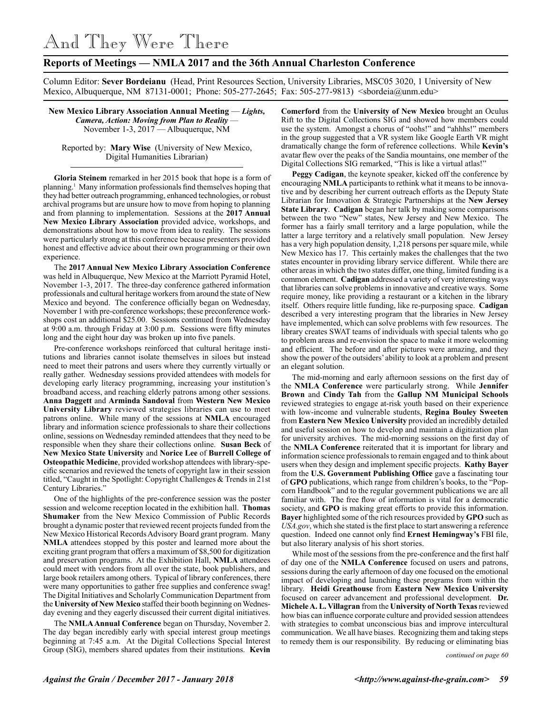And They Were There

### **Reports of Meetings — NMLA 2017 and the 36th Annual Charleston Conference**

Column Editor: **Sever Bordeianu** (Head, Print Resources Section, University Libraries, MSC05 3020, 1 University of New Mexico, Albuquerque, NM 87131-0001; Phone: 505-277-2645; Fax: 505-277-9813) <sbordeia@unm.edu>

**New Mexico Library Association Annual Meeting** — *Lights, Camera, Action: Moving from Plan to Reality* — November 1-3, 2017 — Albuquerque, NM

Reported by: **Mary Wise** (University of New Mexico, Digital Humanities Librarian)

**Gloria Steinem** remarked in her 2015 book that hope is a form of planning.1 Many information professionals find themselves hoping that they had better outreach programming, enhanced technologies, or robust archival programs but are unsure how to move from hoping to planning and from planning to implementation. Sessions at the **2017 Annual New Mexico Library Association** provided advice, workshops, and demonstrations about how to move from idea to reality. The sessions were particularly strong at this conference because presenters provided honest and effective advice about their own programming or their own experience.

The **2017 Annual New Mexico Library Association Conference**  was held in Albuquerque, New Mexico at the Marriott Pyramid Hotel, November 1-3, 2017. The three-day conference gathered information professionals and cultural heritage workers from around the state of New Mexico and beyond. The conference officially began on Wednesday, November 1 with pre-conference workshops; these preconference workshops cost an additional \$25.00. Sessions continued from Wednesday at 9:00 a.m. through Friday at 3:00 p.m. Sessions were fifty minutes long and the eight hour day was broken up into five panels.

Pre-conference workshops reinforced that cultural heritage institutions and libraries cannot isolate themselves in siloes but instead need to meet their patrons and users where they currently virtually or really gather. Wednesday sessions provided attendees with models for developing early literacy programming, increasing your institution's broadband access, and reaching elderly patrons among other sessions. **Anna Daggett** and **Arminda Sandoval** from **Western New Mexico University Library** reviewed strategies libraries can use to meet patrons online. While many of the sessions at **NMLA** encouraged library and information science professionals to share their collections online, sessions on Wednesday reminded attendees that they need to be responsible when they share their collections online. **Susan Beck** of **New Mexico State University** and **Norice Lee** of **Burrell College of Osteopathic Medicine**, provided workshop attendees with library-specific scenarios and reviewed the tenets of copyright law in their session titled, "Caught in the Spotlight: Copyright Challenges & Trends in 21st Century Libraries."

One of the highlights of the pre-conference session was the poster session and welcome reception located in the exhibition hall. **Thomas Shumaker** from the New Mexico Commission of Public Records brought a dynamic poster that reviewed recent projects funded from the New Mexico Historical Records Advisory Board grant program. Many **NMLA** attendees stopped by this poster and learned more about the exciting grant program that offers a maximum of \$8,500 for digitization and preservation programs. At the Exhibition Hall, **NMLA** attendees could meet with vendors from all over the state, book publishers, and large book retailers among others. Typical of library conferences, there were many opportunities to gather free supplies and conference swag! The Digital Initiatives and Scholarly Communication Department from the **University of New Mexico** staffed their booth beginning on Wednesday evening and they eagerly discussed their current digital initiatives.

The **NMLA Annual Conference** began on Thursday, November 2. The day began incredibly early with special interest group meetings beginning at 7:45 a.m. At the Digital Collections Special Interest Group (SIG), members shared updates from their institutions. **Kevin** 

**Comerford** from the **University of New Mexico** brought an Oculus Rift to the Digital Collections SIG and showed how members could use the system. Amongst a chorus of "oohs!" and "ahhhs!" members in the group suggested that a VR system like Google Earth VR might dramatically change the form of reference collections. While **Kevin's** avatar flew over the peaks of the Sandia mountains, one member of the Digital Collections SIG remarked, "This is like a virtual atlas!"

**Peggy Cadigan**, the keynote speaker, kicked off the conference by encouraging **NMLA** participants to rethink what it means to be innovative and by describing her current outreach efforts as the Deputy State Librarian for Innovation & Strategic Partnerships at the **New Jersey State Library**. **Cadigan** began her talk by making some comparisons between the two "New" states, New Jersey and New Mexico. The former has a fairly small territory and a large population, while the latter a large territory and a relatively small population. New Jersey has a very high population density, 1,218 persons per square mile, while New Mexico has 17. This certainly makes the challenges that the two states encounter in providing library service different. While there are other areas in which the two states differ, one thing, limited funding is a common element. **Cadigan** addressed a variety of very interesting ways that libraries can solve problems in innovative and creative ways. Some require money, like providing a restaurant or a kitchen in the library itself. Others require little funding, like re-purposing space. **Cadigan** described a very interesting program that the libraries in New Jersey have implemented, which can solve problems with few resources. The library creates SWAT teams of individuals with special talents who go to problem areas and re-envision the space to make it more welcoming and efficient. The before and after pictures were amazing, and they show the power of the outsiders' ability to look at a problem and present an elegant solution.

The mid-morning and early afternoon sessions on the first day of the **NMLA Conference** were particularly strong. While **Jennifer Brown** and **Cindy Tah** from the **Gallup NM Municipal Schools** reviewed strategies to engage at-risk youth based on their experience with low-income and vulnerable students, **Regina Bouley Sweeten**  from **Eastern New Mexico University** provided an incredibly detailed and useful session on how to develop and maintain a digitization plan for university archives. The mid-morning sessions on the first day of the **NMLA Conference** reiterated that it is important for library and information science professionals to remain engaged and to think about users when they design and implement specific projects. **Kathy Bayer**  from the **U.S. Government Publishing Office** gave a fascinating tour of **GPO** publications, which range from children's books, to the "Popcorn Handbook" and to the regular government publications we are all familiar with. The free flow of information is vital for a democratic society, and **GPO** is making great efforts to provide this information. **Bayer** highlighted some of the rich resources provided by **GPO** such as *USA.gov*, which she stated is the first place to start answering a reference question. Indeed one cannot only find **Ernest Hemingway's** FBI file, but also literary analysis of his short stories.

While most of the sessions from the pre-conference and the first half of day one of the **NMLA Conference** focused on users and patrons, sessions during the early afternoon of day one focused on the emotional impact of developing and launching these programs from within the library. **Heidi Greathouse** from **Eastern New Mexico University** focused on career advancement and professional development. **Dr. Michele A. L. Villagran** from the **University of North Texas** reviewed how bias can influence corporate culture and provided session attendees with strategies to combat unconscious bias and improve intercultural communication. We all have biases. Recognizing them and taking steps to remedy them is our responsibility. By reducing or eliminating bias

*continued on page 60*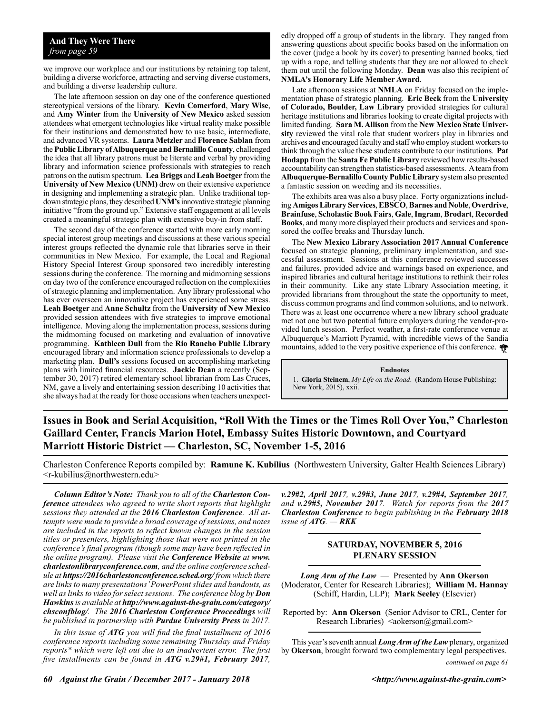#### **And They Were There** *from page 59*

we improve our workplace and our institutions by retaining top talent, building a diverse workforce, attracting and serving diverse customers, and building a diverse leadership culture.

The late afternoon session on day one of the conference questioned stereotypical versions of the library. **Kevin Comerford**, **Mary Wise**, and **Amy Winter** from the **University of New Mexico** asked session attendees what emergent technologies like virtual reality make possible for their institutions and demonstrated how to use basic, intermediate, and advanced VR systems. **Laura Metzler** and **Florence Sablan** from the **Public Library of Albuquerque and Bernalillo County**, challenged the idea that all library patrons must be literate and verbal by providing library and information science professionals with strategies to reach patrons on the autism spectrum. **Lea Briggs** and **Leah Boetger** from the **University of New Mexico (UNM)** drew on their extensive experience in designing and implementing a strategic plan. Unlike traditional topdown strategic plans, they described **UNM's** innovative strategic planning initiative "from the ground up." Extensive staff engagement at all levels created a meaningful strategic plan with extensive buy-in from staff.

The second day of the conference started with more early morning special interest group meetings and discussions at these various special interest groups reflected the dynamic role that libraries serve in their communities in New Mexico. For example, the Local and Regional History Special Interest Group sponsored two incredibly interesting sessions during the conference. The morning and midmorning sessions on day two of the conference encouraged reflection on the complexities of strategic planning and implementation. Any library professional who has ever overseen an innovative project has experienced some stress. **Leah Boetger** and **Anne Schultz** from the **University of New Mexico** provided session attendees with five strategies to improve emotional intelligence. Moving along the implementation process, sessions during the midmorning focused on marketing and evaluation of innovative programming. **Kathleen Dull** from the **Rio Rancho Public Library**  encouraged library and information science professionals to develop a marketing plan. **Dull's** sessions focused on accomplishing marketing plans with limited financial resources. **Jackie Dean** a recently (September 30, 2017) retired elementary school librarian from Las Cruces, NM, gave a lively and entertaining session describing 10 activities that she always had at the ready for those occasions when teachers unexpectedly dropped off a group of students in the library. They ranged from answering questions about specific books based on the information on the cover (judge a book by its cover) to presenting banned books, tied up with a rope, and telling students that they are not allowed to check them out until the following Monday. **Dean** was also this recipient of **NMLA's Honorary Life Member Award**.

Late afternoon sessions at **NMLA** on Friday focused on the implementation phase of strategic planning. **Eric Beck** from the **University of Colorado, Boulder, Law Library** provided strategies for cultural heritage institutions and libraries looking to create digital projects with limited funding. **Sara M. Allison** from the **New Mexico State University** reviewed the vital role that student workers play in libraries and archives and encouraged faculty and staff who employ student workers to think through the value these students contribute to our institutions. **Pat Hodapp** from the **Santa Fe Public Library** reviewed how results-based accountability can strengthen statistics-based assessments. A team from **Albuquerque-Bernalillo County Public Library** system also presented a fantastic session on weeding and its necessities.

The exhibits area was also a busy place. Forty organizations including **Amigos Library Services**, **EBSCO**, **Barnes and Noble**, **Overdrive**, **Brainfuse**, **Scholastic Book Fairs**, **Gale**, **Ingram**, **Brodart**, **Recorded Books**, and many more displayed their products and services and sponsored the coffee breaks and Thursday lunch.

The **New Mexico Library Association 2017 Annual Conference**  focused on strategic planning, preliminary implementation, and successful assessment. Sessions at this conference reviewed successes and failures, provided advice and warnings based on experience, and inspired libraries and cultural heritage institutions to rethink their roles in their community. Like any state Library Association meeting, it provided librarians from throughout the state the opportunity to meet, discuss common programs and find common solutions, and to network. There was at least one occurrence where a new library school graduate met not one but two potential future employers during the vendor-provided lunch session. Perfect weather, a first-rate conference venue at Albuquerque's Marriott Pyramid, with incredible views of the Sandia mountains, added to the very positive experience of this conference.

**Endnotes**

1. **Gloria Steinem**, *My Life on the Road*. (Random House Publishing: New York, 2015), xxii.

**Issues in Book and Serial Acquisition, "Roll With the Times or the Times Roll Over You," Charleston Gaillard Center, Francis Marion Hotel, Embassy Suites Historic Downtown, and Courtyard Marriott Historic District — Charleston, SC, November 1-5, 2016**

Charleston Conference Reports compiled by: **Ramune K. Kubilius** (Northwestern University, Galter Health Sciences Library)  $\leq r$ -kubilius@northwestern.edu>

*Column Editor's Note: Thank you to all of the Charleston Conference attendees who agreed to write short reports that highlight sessions they attended at the 2016 Charleston Conference. All attempts were made to provide a broad coverage of sessions, and notes are included in the reports to reflect known changes in the session titles or presenters, highlighting those that were not printed in the conference's final program (though some may have been reflected in the online program). Please visit the Conference Website at www. charlestonlibraryconference.com, and the online conference schedule at https://2016charlestonconference.sched.org/ from which there are links to many presentations' PowerPoint slides and handouts, as well as links to video for select sessions. The conference blog by Don Hawkins is available at http://www.against-the-grain.com/category/ chsconfblog/. The 2016 Charleston Conference Proceedings will be published in partnership with Purdue University Press in 2017.*

*In this issue of ATG you will find the final installment of 2016 conference reports including some remaining Thursday and Friday reports\* which were left out due to an inadvertent error. The first five installments can be found in ATG v.29#1, February 2017,* 

*v.29#2, April 2017, v.29#3, June 2017, v.29#4, September 2017, and v.29#5, November 2017. Watch for reports from the 2017 Charleston Conference to begin publishing in the February 2018 issue of ATG. — RKK*

#### **SATURDAY, NOVEMBER 5, 2016 PLENARY SESSION**

*Long Arm of the Law*— Presented by **Ann Okerson** (Moderator, Center for Research Libraries); **William M. Hannay** (Schiff, Hardin, LLP); **Mark Seeley** (Elsevier)

Reported by: **Ann Okerson** (Senior Advisor to CRL, Center for Research Libraries)  $\langle a \rangle$  <aokerson $\langle a \rangle$ gmail.com>

*continued on page 61* This year's seventh annual *Long Arm of the Law* plenary, organized by **Okerson**, brought forward two complementary legal perspectives.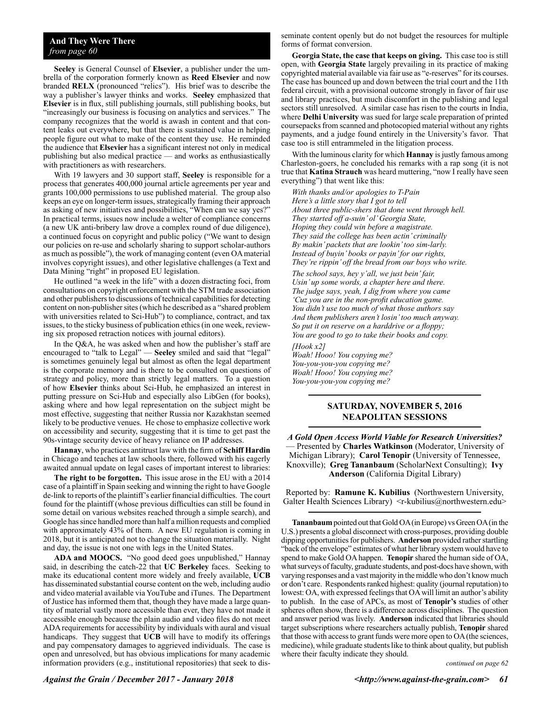**Seeley** is General Counsel of **Elsevier**, a publisher under the umbrella of the corporation formerly known as **Reed Elsevier** and now branded **RELX** (pronounced "relics"). His brief was to describe the way a publisher's lawyer thinks and works. **Seeley** emphasized that **Elsevier** is in flux, still publishing journals, still publishing books, but "increasingly our business is focusing on analytics and services." The company recognizes that the world is awash in content and that content leaks out everywhere, but that there is sustained value in helping people figure out what to make of the content they use. He reminded the audience that **Elsevier** has a significant interest not only in medical publishing but also medical practice — and works as enthusiastically with practitioners as with researchers.

With 19 lawyers and 30 support staff, **Seeley** is responsible for a process that generates 400,000 journal article agreements per year and grants 100,000 permissions to use published material. The group also keeps an eye on longer-term issues, strategically framing their approach as asking of new initiatives and possibilities, "When can we say yes?" In practical terms, issues now include a welter of compliance concerns (a new UK anti-bribery law drove a complex round of due diligence), a continued focus on copyright and public policy ("We want to design our policies on re-use and scholarly sharing to support scholar-authors as much as possible"), the work of managing content (even OA material involves copyright issues), and other legislative challenges (a Text and Data Mining "right" in proposed EU legislation.

He outlined "a week in the life" with a dozen distracting foci, from consultations on copyright enforcement with the STM trade association and other publishers to discussions of technical capabilities for detecting content on non-publisher sites (which he described as a "shared problem with universities related to Sci-Hub") to compliance, contract, and tax issues, to the sticky business of publication ethics (in one week, reviewing six proposed retraction notices with journal editors).

In the Q&A, he was asked when and how the publisher's staff are encouraged to "talk to Legal" — **Seeley** smiled and said that "legal" is sometimes genuinely legal but almost as often the legal department is the corporate memory and is there to be consulted on questions of strategy and policy, more than strictly legal matters. To a question of how **Elsevier** thinks about Sci-Hub, he emphasized an interest in putting pressure on Sci-Hub and especially also LibGen (for books), asking where and how legal representation on the subject might be most effective, suggesting that neither Russia nor Kazakhstan seemed likely to be productive venues. He chose to emphasize collective work on accessibility and security, suggesting that it is time to get past the 90s-vintage security device of heavy reliance on IP addresses.

**Hannay**, who practices antitrust law with the firm of **Schiff Hardin**  in Chicago and teaches at law schools there, followed with his eagerly awaited annual update on legal cases of important interest to libraries:

**The right to be forgotten.** This issue arose in the EU with a 2014 case of a plaintiff in Spain seeking and winning the right to have Google de-link to reports of the plaintiff's earlier financial difficulties. The court found for the plaintiff (whose previous difficulties can still be found in some detail on various websites reached through a simple search), and Google has since handled more than half a million requests and complied with approximately 43% of them. A new EU regulation is coming in 2018, but it is anticipated not to change the situation materially. Night and day, the issue is not one with legs in the United States.

**ADA and MOOCS.** "No good deed goes unpublished," Hannay said, in describing the catch-22 that **UC Berkeley** faces. Seeking to make its educational content more widely and freely available, **UCB** has disseminated substantial course content on the web, including audio and video material available via YouTube and iTunes. The Department of Justice has informed them that, though they have made a large quantity of material vastly more accessible than ever, they have not made it accessible enough because the plain audio and video files do not meet ADA requirements for accessibility by individuals with aural and visual handicaps. They suggest that **UCB** will have to modify its offerings and pay compensatory damages to aggrieved individuals. The case is open and unresolved, but has obvious implications for many academic information providers (e.g., institutional repositories) that seek to disseminate content openly but do not budget the resources for multiple forms of format conversion.

**Georgia State, the case that keeps on giving.** This case too is still open, with **Georgia State** largely prevailing in its practice of making copyrighted material available via fair use as "e-reserves" for its courses. The case has bounced up and down between the trial court and the 11th federal circuit, with a provisional outcome strongly in favor of fair use and library practices, but much discomfort in the publishing and legal sectors still unresolved. A similar case has risen to the courts in India, where **Delhi University** was sued for large scale preparation of printed coursepacks from scanned and photocopied material without any rights payments, and a judge found entirely in the University's favor. That case too is still entrammeled in the litigation process.

With the luminous clarity for which **Hannay** is justly famous among Charleston-goers, he concluded his remarks with a rap song (it is not true that **Katina Strauch** was heard muttering, "now I really have seen everything") that went like this:

*With thanks and/or apologies to T-Pain Here's a little story that I got to tell About three public-shers that done went through hell. They started off a-suin' ol' Georgia State, Hoping they could win before a magistrate. They said the college has been actin' criminally By makin' packets that are lookin' too sim-larly. Instead of buyin' books or payin' for our rights, They're rippin' off the bread from our boys who write.*

*The school says, hey y'all, we just bein' fair, Usin' up some words, a chapter here and there. The judge says, yeah, I dig from where you came 'Cuz you are in the non-profit education game. You didn't use too much of what those authors say And them publishers aren't losin' too much anyway. So put it on reserve on a harddrive or a floppy; You are good to go to take their books and copy.*

*[Hook x2] Woah! Hooo! You copying me? You-you-you-you copying me? Woah! Hooo! You copying me? You-you-you-you copying me?*

#### **SATURDAY, NOVEMBER 5, 2016 NEAPOLITAN SESSIONS**

*A Gold Open Access World Viable for Research Universities?* — Presented by **Charles Watkinson** (Moderator, University of Michigan Library); **Carol Tenopir** (University of Tennessee, Knoxville); **Greg Tananbaum** (ScholarNext Consulting); **Ivy Anderson** (California Digital Library)

Reported by: **Ramune K. Kubilius** (Northwestern University, Galter Health Sciences Library) <r-kubilius@northwestern.edu>

**Tananbaum** pointed out that Gold OA (in Europe) vs Green OA (in the U.S.) presents a global disconnect with cross-purposes, providing double dipping opportunities for publishers. **Anderson** provided rather startling "back of the envelope" estimates of what her library system would have to spend to make Gold OA happen. **Tenopir** shared the human side of OA, what surveys of faculty, graduate students, and post-docs have shown, with varying responses and a vast majority in the middle who don't know much or don't care. Respondents ranked highest: quality (journal reputation) to lowest: OA, with expressed feelings that OA will limit an author's ability to publish. In the case of APCs, as most of **Tenopir's** studies of other spheres often show, there is a difference across disciplines. The question and answer period was lively. **Anderson** indicated that libraries should target subscriptions where researchers actually publish, **Tenopir** shared that those with access to grant funds were more open to OA (the sciences, medicine), while graduate students like to think about quality, but publish where their faculty indicate they should.

*continued on page 62*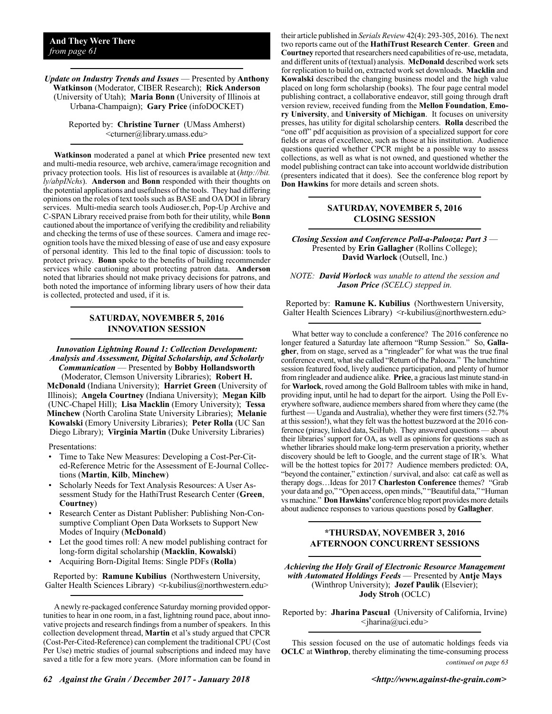#### *Update on Industry Trends and Issues* — Presented by **Anthony Watkinson** (Moderator, CIBER Research); **Rick Anderson** (University of Utah); **Maria Bonn** (University of Illinois at Urbana-Champaign); **Gary Price** (infoDOCKET)

Reported by: **Christine Turner** (UMass Amherst) <cturner@library.umass.edu>

**Watkinson** moderated a panel at which **Price** presented new text and multi-media resource, web archive, camera/image recognition and privacy protection tools. His list of resources is available at (*http://bit. ly/abpINchs*). **Anderson** and **Bonn** responded with their thoughts on the potential applications and usefulness of the tools. They had differing opinions on the roles of text tools such as BASE and OA DOI in library services. Multi-media search tools Audioser.ch, Pop-Up Archive and C-SPAN Library received praise from both for their utility, while **Bonn** cautioned about the importance of verifying the credibility and reliability and checking the terms of use of these sources. Camera and image recognition tools have the mixed blessing of ease of use and easy exposure of personal identity. This led to the final topic of discussion: tools to protect privacy. **Bonn** spoke to the benefits of building recommender services while cautioning about protecting patron data. **Anderson** noted that libraries should not make privacy decisions for patrons, and both noted the importance of informing library users of how their data is collected, protected and used, if it is.

#### **SATURDAY, NOVEMBER 5, 2016 INNOVATION SESSION**

*Innovation Lightning Round 1: Collection Development: Analysis and Assessment, Digital Scholarship, and Scholarly Communication* — Presented by **Bobby Hollandsworth**

(Moderator, Clemson University Libraries); **Robert H. McDonald** (Indiana University); **Harriet Green** (University of Illinois); **Angela Courtney** (Indiana University); **Megan Kilb** (UNC-Chapel Hill); **Lisa Macklin** (Emory University); **Tessa Minchew** (North Carolina State University Libraries); **Melanie Kowalski** (Emory University Libraries); **Peter Rolla** (UC San Diego Library); **Virginia Martin** (Duke University Libraries)

Presentations:

- Time to Take New Measures: Developing a Cost-Per-Cited-Reference Metric for the Assessment of E-Journal Collections (**Martin**, **Kilb**, **Minchew**)
- Scholarly Needs for Text Analysis Resources: A User Assessment Study for the HathiTrust Research Center (**Green**, **Courtney**)
- Research Center as Distant Publisher: Publishing Non-Consumptive Compliant Open Data Worksets to Support New Modes of Inquiry (**McDonald**)
- Let the good times roll: A new model publishing contract for long-form digital scholarship (**Macklin**, **Kowalski**)
- Acquiring Born-Digital Items: Single PDFs (**Rolla**)

Reported by: **Ramune Kubilius** (Northwestern University, Galter Health Sciences Library) <r-kubilius@northwestern.edu>

A newly re-packaged conference Saturday morning provided opportunities to hear in one room, in a fast, lightning round pace, about innovative projects and research findings from a number of speakers. In this collection development thread, **Martin** et al's study argued that CPCR (Cost-Per-Cited-Reference) can complement the traditional CPU (Cost Per Use) metric studies of journal subscriptions and indeed may have saved a title for a few more years. (More information can be found in

their article published in *Serials Review* 42(4): 293-305, 2016). The next two reports came out of the **HathiTrust Research Center**. **Green** and **Courtney** reported that researchers need capabilities of re-use, metadata, and different units of (textual) analysis. **McDonald** described work sets for replication to build on, extracted work set downloads. **Macklin** and **Kowalski** described the changing business model and the high value placed on long form scholarship (books). The four page central model publishing contract, a collaborative endeavor, still going through draft version review, received funding from the **Mellon Foundation**, **Emory University**, and **University of Michigan**. It focuses on university presses, has utility for digital scholarship centers. **Rolla** described the "one off" pdf acquisition as provision of a specialized support for core fields or areas of excellence, such as those at his institution. Audience questions queried whether CPCR might be a possible way to assess collections, as well as what is not owned, and questioned whether the model publishing contract can take into account worldwide distribution (presenters indicated that it does). See the conference blog report by **Don Hawkins** for more details and screen shots.

#### **SATURDAY, NOVEMBER 5, 2016 CLOSING SESSION**

*Closing Session and Conference Poll-a-Palooza: Part 3* — Presented by **Erin Gallagher** (Rollins College); **David Warlock** (Outsell, Inc.)

*NOTE: David Worlock was unable to attend the session and Jason Price (SCELC) stepped in.*

Reported by: **Ramune K. Kubilius** (Northwestern University, Galter Health Sciences Library) <r-kubilius@northwestern.edu>

What better way to conclude a conference? The 2016 conference no longer featured a Saturday late afternoon "Rump Session." So, **Gallagher**, from on stage, served as a "ringleader" for what was the true final conference event, what she called "Return of the Palooza." The lunchtime session featured food, lively audience participation, and plenty of humor from ringleader and audience alike. **Price**, a gracious last minute stand-in for **Warlock**, roved among the Gold Ballroom tables with mike in hand, providing input, until he had to depart for the airport. Using the Poll Everywhere software, audience members shared from where they came (the furthest — Uganda and Australia), whether they were first timers (52.7% at this session!), what they felt was the hottest buzzword at the 2016 conference (piracy, linked data, SciHub). They answered questions — about their libraries' support for OA, as well as opinions for questions such as whether libraries should make long-term preservation a priority, whether discovery should be left to Google, and the current stage of IR's. What will be the hottest topics for 2017? Audience members predicted: OA, "beyond the container," extinction / survival, and also: cat café as well as therapy dogs…Ideas for 2017 **Charleston Conference** themes? "Grab your data and go," "Open access, open minds," "Beautiful data," "Human vs machine." **Don Hawkins'** conference blog report provides more details about audience responses to various questions posed by **Gallagher**.

#### **\*THURSDAY, NOVEMBER 3, 2016 AFTERNOON CONCURRENT SESSIONS**

*Achieving the Holy Grail of Electronic Resource Management with Automated Holdings Feeds* — Presented by **Antje Mays**  (Winthrop University); **Jozef Paulik** (Elsevier); **Jody Stroh** (OCLC)

Reported by: **Jharina Pascual** (University of California, Irvine) *<*jharina@uci.edu*>*

This session focused on the use of automatic holdings feeds via **OCLC** at **Winthrop**, thereby eliminating the time-consuming process *continued on page 63*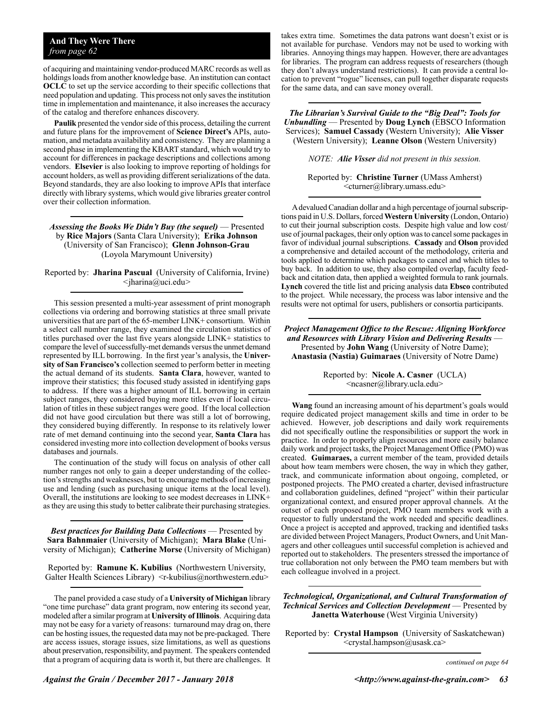#### **And They Were There** *from page 62*

of acquiring and maintaining vendor-produced MARC records as well as holdings loads from another knowledge base. An institution can contact **OCLC** to set up the service according to their specific collections that need population and updating. This process not only saves the institution time in implementation and maintenance, it also increases the accuracy of the catalog and therefore enhances discovery.

**Paulik** presented the vendor side of this process, detailing the current and future plans for the improvement of **Science Direct's** APIs, automation, and metadata availability and consistency. They are planning a second phase in implementing the KBART standard, which would try to account for differences in package descriptions and collections among vendors. **Elsevier** is also looking to improve reporting of holdings for account holders, as well as providing different serializations of the data. Beyond standards, they are also looking to improve APIs that interface directly with library systems, which would give libraries greater control over their collection information.

*Assessing the Books We Didn't Buy (the sequel)* — Presented by **Rice Majors** (Santa Clara University); **Erika Johnson**  (University of San Francisco); **Glenn Johnson-Grau**  (Loyola Marymount University)

Reported by: **Jharina Pascual** (University of California, Irvine) *<*jharina@uci.edu*>*

This session presented a multi-year assessment of print monograph collections via ordering and borrowing statistics at three small private universities that are part of the 65-member LINK+ consortium. Within a select call number range, they examined the circulation statistics of titles purchased over the last five years alongside LINK+ statistics to compare the level of successfully-met demands versus the unmet demand represented by ILL borrowing. In the first year's analysis, the **University of San Francisco's** collection seemed to perform better in meeting the actual demand of its students. **Santa Clara**, however, wanted to improve their statistics; this focused study assisted in identifying gaps to address. If there was a higher amount of ILL borrowing in certain subject ranges, they considered buying more titles even if local circulation of titles in these subject ranges were good. If the local collection did not have good circulation but there was still a lot of borrowing, they considered buying differently. In response to its relatively lower rate of met demand continuing into the second year, **Santa Clara** has considered investing more into collection development of books versus databases and journals.

The continuation of the study will focus on analysis of other call number ranges not only to gain a deeper understanding of the collection's strengths and weaknesses, but to encourage methods of increasing use and lending (such as purchasing unique items at the local level). Overall, the institutions are looking to see modest decreases in LINK+ as they are using this study to better calibrate their purchasing strategies.

*Best practices for Building Data Collections* — Presented by **Sara Bahnmaier** (University of Michigan); **Mara Blake** (University of Michigan); **Catherine Morse** (University of Michigan)

Reported by: **Ramune K. Kubilius** (Northwestern University, Galter Health Sciences Library) <r-kubilius@northwestern.edu>

The panel provided a case study of a **University of Michigan** library "one time purchase" data grant program, now entering its second year, modeled after a similar program at **University of Illinois**. Acquiring data may not be easy for a variety of reasons: turnaround may drag on, there can be hosting issues, the requested data may not be pre-packaged. There are access issues, storage issues, size limitations, as well as questions about preservation, responsibility, and payment. The speakers contended that a program of acquiring data is worth it, but there are challenges. It

takes extra time. Sometimes the data patrons want doesn't exist or is not available for purchase. Vendors may not be used to working with libraries. Annoying things may happen. However, there are advantages for libraries. The program can address requests of researchers (though they don't always understand restrictions). It can provide a central location to prevent "rogue" licenses, can pull together disparate requests for the same data, and can save money overall.

*The Librarian's Survival Guide to the "Big Deal": Tools for Unbundling* — Presented by **Doug Lynch** (EBSCO Information Services); **Samuel Cassady** (Western University); **Alie Visser** (Western University); **Leanne Olson** (Western University)

*NOTE: Alie Visser did not present in this session.*

Reported by: **Christine Turner** (UMass Amherst) <cturner@library.umass.edu>

A devalued Canadian dollar and a high percentage of journal subscriptions paid in U.S. Dollars, forced **Western University** (London, Ontario) to cut their journal subscription costs. Despite high value and low cost/ use of journal packages, their only option was to cancel some packages in favor of individual journal subscriptions. **Cassady** and **Olson** provided a comprehensive and detailed account of the methodology, criteria and tools applied to determine which packages to cancel and which titles to buy back. In addition to use, they also compiled overlap, faculty feedback and citation data, then applied a weighted formula to rank journals. **Lynch** covered the title list and pricing analysis data **Ebsco** contributed to the project. While necessary, the process was labor intensive and the results were not optimal for users, publishers or consortia participants.

*Project Management Office to the Rescue: Aligning Workforce and Resources with Library Vision and Delivering Results* — Presented by **John Wang** (University of Notre Dame); **Anastasia (Nastia) Guimaraes** (University of Notre Dame)

> Reported by: **Nicole A. Casner** (UCLA)  $<$ ncasner@library.ucla.edu $>$

**Wang** found an increasing amount of his department's goals would require dedicated project management skills and time in order to be achieved. However, job descriptions and daily work requirements did not specifically outline the responsibilities or support the work in practice. In order to properly align resources and more easily balance daily work and project tasks, the Project Management Office (PMO) was created. **Guimaraes,** a current member of the team, provided details about how team members were chosen, the way in which they gather, track, and communicate information about ongoing, completed, or postponed projects. The PMO created a charter, devised infrastructure and collaboration guidelines, defined "project" within their particular organizational context, and ensured proper approval channels. At the outset of each proposed project, PMO team members work with a requestor to fully understand the work needed and specific deadlines. Once a project is accepted and approved, tracking and identified tasks are divided between Project Managers, Product Owners, and Unit Managers and other colleagues until successful completion is achieved and reported out to stakeholders. The presenters stressed the importance of true collaboration not only between the PMO team members but with each colleague involved in a project.

*Technological, Organizational, and Cultural Transformation of Technical Services and Collection Development* — Presented by **Janetta Waterhouse** (West Virginia University)

Reported by: **Crystal Hampson** (University of Saskatchewan) <crystal.hampson@usask.ca>

*continued on page 64*